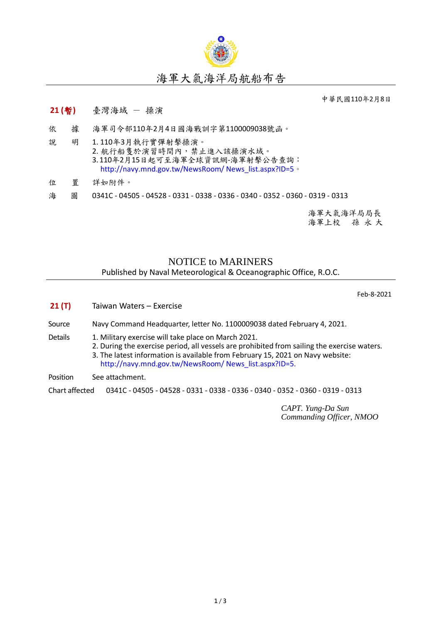

中華民國110年2月8日

## **21 (**暫**)** 臺灣海域 - 操演

- 依 據 海軍司令部110年2月4日國海戰訓字第1100009038號函。
- 說 明 1. 110年3月執行實彈射擊操演。 2. 航行船隻於演習時間內,禁止進入該操演水域。 3. 110年2月15日起可至海軍全球資訊網-海軍射擊公告查詢: [http://navy.mnd.gov.tw/NewsRoom/ News\\_list.aspx?ID=5](http://navy.mnd.gov.tw/NewsRoom/%20News_list.aspx?ID=5)。
- 位 置 詳如附件。
- 海 圖 0341C 04505 04528 0331 0338 0336 0340 0352 0360 0319 0313

海軍大氣海洋局局長 海軍上校 孫 永 大

## NOTICE to MARINERS Published by Naval Meteorological & Oceanographic Office, R.O.C.

Feb-8-2021

- **21 (T)** Taiwan Waters Exercise
- Source Navy Command Headquarter, letter No. 1100009038 dated February 4, 2021.
- Details 1. Military exercise will take place on March 2021.
	- 2. During the exercise period, all vessels are prohibited from sailing the exercise waters.
		- 3. The latest information is available from February 15, 2021 on Navy website: [http://navy.mnd.gov.tw/NewsRoom/ News\\_list.aspx?ID=5.](http://navy.mnd.gov.tw/NewsRoom/%20News_list.aspx?ID=5)

Position See attachment.

Chart affected 0341C - 04505 - 04528 - 0331 - 0338 - 0336 - 0340 - 0352 - 0360 - 0319 - 0313

*CAPT. Yung-Da Sun Commanding Officer, NMOO*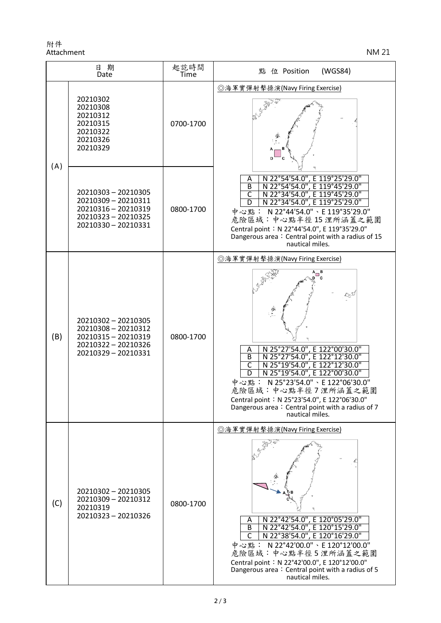附件 Attachment NM 21

| 日期<br>Date |                                                                                                                 | 起訖時間<br>Time | (WGS84)<br>點 位 Position                                                                                                                                                                                                                                                                                                                                                                     |
|------------|-----------------------------------------------------------------------------------------------------------------|--------------|---------------------------------------------------------------------------------------------------------------------------------------------------------------------------------------------------------------------------------------------------------------------------------------------------------------------------------------------------------------------------------------------|
| (A)        | 20210302<br>20210308<br>20210312<br>20210315<br>20210322<br>20210326<br>20210329                                | 0700-1700    | ◎海軍實彈射擊操演(Navy Firing Exercise)                                                                                                                                                                                                                                                                                                                                                             |
|            | 20210303 - 20210305<br>20210309 - 20210311<br>20210316 - 20210319<br>20210323 - 20210325<br>20210330 - 20210331 | 0800-1700    | N 22°54'54.0", E 119°25'29.0"<br>A<br>$\overline{B}$<br>N 22°54'54.0", E 119°45'29.0"<br>N 22°34'54.0", E 119°45'29.0"<br>$\overline{\mathsf{C}}$<br>N 22°34'54.0", E 119°25'29.0"<br>中心點: N 22°44'54.0"、E 119°35'29.0"<br>危險區域:中心點半徑15浬所涵蓋之範圍<br>Central point: N 22°44'54.0", E 119°35'29.0"<br>Dangerous area: Central point with a radius of 15<br>nautical miles.                      |
| (B)        | 20210302 - 20210305<br>20210308 - 20210312<br>20210315 - 20210319<br>20210322 - 20210326<br>20210329 - 20210331 | 0800-1700    | ◎海軍實彈射擊操演(Navy Firing Exercise)<br>N 25°27'54.0", E 122°00'30.0"<br>N 25°27'54.0", E 122°12'30.0"<br>Α<br>$\overline{B}$<br>N 25°19'54.0", E 122°12'30.0"<br>C<br>N 25°19'54.0", E 122°00'30.0"<br>D<br>N 25°23'54.0" \ E 122°06'30.0"<br>中心點:<br>危險區域:中心點半徑7浬所涵蓋之範圍<br>Central point: N 25°23'54.0", E 122°06'30.0"<br>Dangerous area: Central point with a radius of 7<br>nautical miles. |
| (C)        | 20210302 - 20210305<br>20210309 - 20210312<br>20210319<br>20210323 - 20210326                                   | 0800-1700    | ◎海軍實彈射擊操演(Navy Firing Exercise)<br>N 22°42'54.0", E 120°05'29.0"<br>Α<br>N 22°42'54.0", E 120°15'29.0"<br>$\overline{B}$<br>N 22°38'54.0", E 120°16'29.0"<br>中心點: N 22°42'00.0"、E 120°12'00.0"<br>危險區域:中心點半徑5浬所涵蓋之範圍<br>Central point: N 22°42'00.0", E 120°12'00.0"<br>Dangerous area: Central point with a radius of 5<br>nautical miles.                                                 |